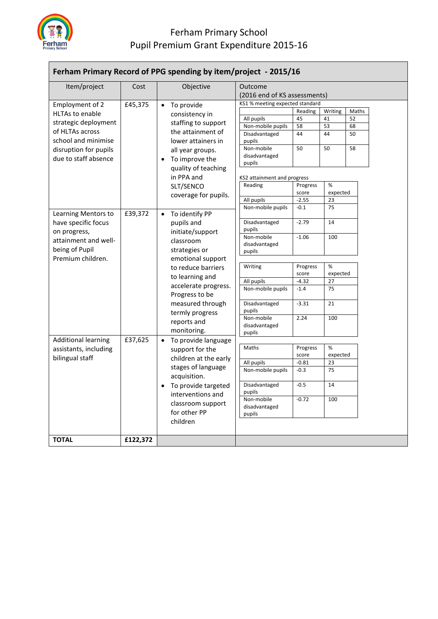

## Ferham Primary School Pupil Premium Grant Expenditure 2015-16

| Ferham Primary Record of PPG spending by item/project - 2015/16 |          |                                  |                                         |          |          |       |  |  |
|-----------------------------------------------------------------|----------|----------------------------------|-----------------------------------------|----------|----------|-------|--|--|
| Item/project                                                    | Cost     | Objective                        | Outcome<br>(2016 end of KS assessments) |          |          |       |  |  |
| Employment of 2                                                 | £45,375  | • To provide                     | KS1 % meeting expected standard         |          |          |       |  |  |
| <b>HLTAs to enable</b>                                          |          | consistency in                   |                                         | Reading  | Writing  | Maths |  |  |
|                                                                 |          |                                  | All pupils                              | 45       | 41       | 52    |  |  |
| strategic deployment                                            |          | staffing to support              | Non-mobile pupils                       | 58       | 53       | 68    |  |  |
| of HLTAs across                                                 |          | the attainment of                | Disadvantaged                           | 44       | 44       | 50    |  |  |
| school and minimise                                             |          | lower attainers in               | pupils                                  |          |          |       |  |  |
| disruption for pupils                                           |          | all year groups.                 | Non-mobile                              | 50       | 50       | 58    |  |  |
| due to staff absence                                            |          | • To improve the                 | disadvantaged                           |          |          |       |  |  |
|                                                                 |          | quality of teaching              | pupils                                  |          |          |       |  |  |
|                                                                 |          | in PPA and                       | KS2 attainment and progress             |          |          |       |  |  |
|                                                                 |          | SLT/SENCO                        | Reading                                 | Progress | %        |       |  |  |
|                                                                 |          |                                  |                                         | score    | expected |       |  |  |
|                                                                 |          | coverage for pupils.             | All pupils                              | $-2.55$  | 23       |       |  |  |
|                                                                 |          |                                  | Non-mobile pupils                       | $-0.1$   | 75       |       |  |  |
| Learning Mentors to                                             | £39,372  | • To identify PP                 |                                         |          |          |       |  |  |
| have specific focus                                             |          | pupils and                       | Disadvantaged                           | $-2.79$  | 14       |       |  |  |
| on progress,                                                    |          | initiate/support                 | pupils                                  |          |          |       |  |  |
| attainment and well-                                            |          | classroom                        | Non-mobile                              | $-1.06$  | 100      |       |  |  |
| being of Pupil                                                  |          | strategies or                    | disadvantaged                           |          |          |       |  |  |
| Premium children.                                               |          | emotional support                | pupils                                  |          |          |       |  |  |
|                                                                 |          |                                  | Writing                                 | Progress | %        |       |  |  |
|                                                                 |          | to reduce barriers               |                                         | score    | expected |       |  |  |
|                                                                 |          | to learning and                  | All pupils                              | $-4.32$  | 27       |       |  |  |
|                                                                 |          | accelerate progress.             | Non-mobile pupils                       | $-1.4$   | 75       |       |  |  |
|                                                                 |          | Progress to be                   |                                         |          |          |       |  |  |
|                                                                 |          | measured through                 | Disadvantaged                           | $-3.31$  | 21       |       |  |  |
|                                                                 |          | termly progress                  | pupils                                  |          |          |       |  |  |
|                                                                 |          | reports and                      | Non-mobile                              | 2.24     | 100      |       |  |  |
|                                                                 |          | monitoring.                      | disadvantaged                           |          |          |       |  |  |
| Additional learning                                             | £37,625  |                                  | pupils                                  |          |          |       |  |  |
|                                                                 |          | To provide language<br>$\bullet$ | Maths                                   | Progress | %        |       |  |  |
| assistants, including                                           |          | support for the                  |                                         | score    | expected |       |  |  |
| bilingual staff                                                 |          | children at the early            | All pupils                              | $-0.81$  | 23       |       |  |  |
|                                                                 |          | stages of language               | Non-mobile pupils                       | $-0.3$   | 75       |       |  |  |
|                                                                 |          | acquisition.                     |                                         |          |          |       |  |  |
|                                                                 |          | • To provide targeted            | Disadvantaged                           | $-0.5$   | 14       |       |  |  |
|                                                                 |          | interventions and                | pupils                                  |          |          |       |  |  |
|                                                                 |          | classroom support                | Non-mobile                              | $-0.72$  | 100      |       |  |  |
|                                                                 |          | for other PP                     | disadvantaged                           |          |          |       |  |  |
|                                                                 |          |                                  | pupils                                  |          |          |       |  |  |
|                                                                 |          | children                         |                                         |          |          |       |  |  |
| <b>TOTAL</b>                                                    | £122,372 |                                  |                                         |          |          |       |  |  |